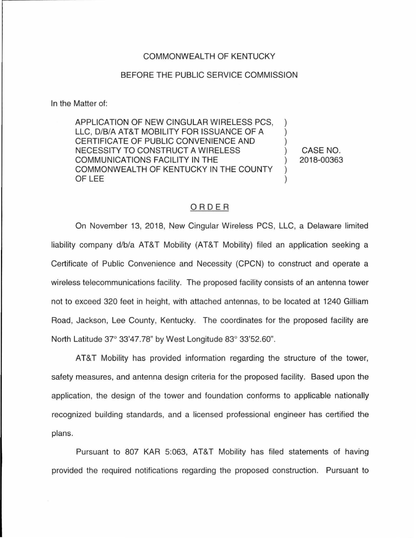## COMMONWEALTH OF KENTUCKY

## BEFORE THE PUBLIC SERVICE COMMISSION

In the Matter of:

APPLICATION OF NEW CINGULAR WIRELESS PCS, LLC, D/B/A AT&T MOBILITY FOR ISSUANCE OF A CERTIFICATE OF PUBLIC CONVENIENCE AND NECESSITY TO CONSTRUCT A WIRELESS COMMUNICATIONS FACILITY IN THE COMMONWEALTH OF KENTUCKY IN THE COUNTY OF LEE

CASE NO. 2018-00363

## ORDER

On November 13, 2018, New Cingular Wireless PCS, LLC, a Delaware limited liability company d/b/a AT&T Mobility (AT&T Mobility) filed an application seeking a Certificate of Public Convenience and Necessity (CPCN) to construct and operate a wireless telecommunications facility. The proposed facility consists of an antenna tower not to exceed 320 feet in height, with attached antennas, to be located at 1240 Gilliam Road, Jackson, Lee County, Kentucky. The coordinates for the proposed facility are North Latitude 37° 33'47.78" by West Longitude 83° 33'52.60".

AT&T Mobility has provided information regarding the structure of the tower, safety measures, and antenna design criteria for the proposed facility. Based upon the application, the design of the tower and foundation conforms to applicable nationally recognized building standards, and a licensed professional engineer has certified the plans.

Pursuant to 807 KAR 5:063, AT&T Mobility has filed statements of having provided the required notifications regarding the proposed construction. Pursuant to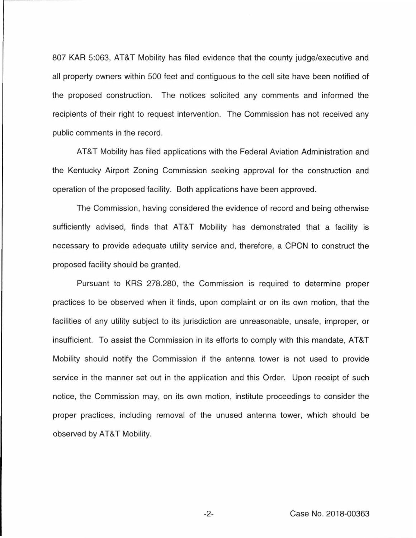807 KAR 5:063, AT&T Mobility has filed evidence that the county judge/executive and all property owners within 500 feet and contiguous to the cell site have been notified of the proposed construction. The notices solicited any comments and informed the recipients of their right to request intervention. The Commission has not received any public comments in the record.

AT&T Mobility has filed applications with the Federal Aviation Administration and the Kentucky Airport Zoning Commission seeking approval for the construction and operation of the proposed facility. Both applications have been approved.

The Commission, having considered the evidence of record and being otherwise sufficiently advised, finds that AT&T Mobility has demonstrated that a facility is necessary to provide adequate utility service and, therefore, a CPCN to construct the proposed facility should be granted.

Pursuant to KRS 278.280, the Commission is required to determine proper practices to be observed when it finds, upon complaint or on its own motion, that the facilities of any utility subject to its jurisdiction are unreasonable, unsafe, improper, or insufficient. To assist the Commission in its efforts to comply with this mandate, AT&T Mobility should notify the Commission if the antenna tower is not used to provide service in the manner set out in the application and this Order. Upon receipt of such notice, the Commission may, on its own motion , institute proceedings to consider the proper practices, including removal of the unused antenna tower, which should be observed by AT&T Mobility.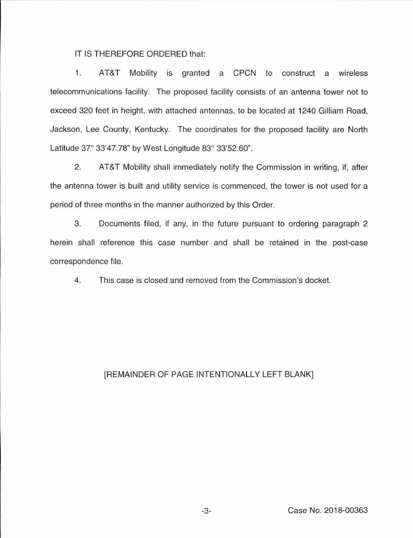IT IS THEREFORE ORDERED that:

1. AT&T Mobility 1s granted a CPCN to construct a wireless telecommunications facility. The proposed facility consists of an antenna tower not to exceed 320 feet in height, with attached antennas, to be located at 1240 Gilliam Road, Jackson, Lee County, Kentucky. The coordinates for the proposed facility are North Latitude 37° 33'47.78" by West Longitude 83° 33'52.60".

2. AT&T Mobility shall immediately notify the Commission in writing, if, after the antenna tower is built and utility service is commenced, the tower is not used for a period of three months in the manner authorized by this Order.

3. Documents filed, if any, in the future pursuant to ordering paragraph 2 herein shall reference this case number and shall be retained in the post-case correspondence file.

4. This case is closed and removed from the Commission's docket.

## [REMAINDER OF PAGE INTENTIONALLY LEFT BLANK]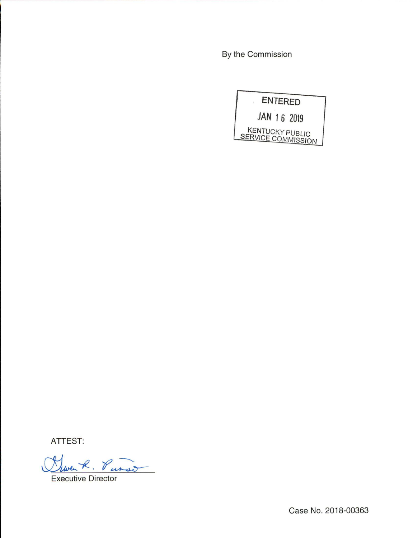By the Commission



ATTEST:

Globert. Purso Ñ

Executive Director

Case No. 2018-00363